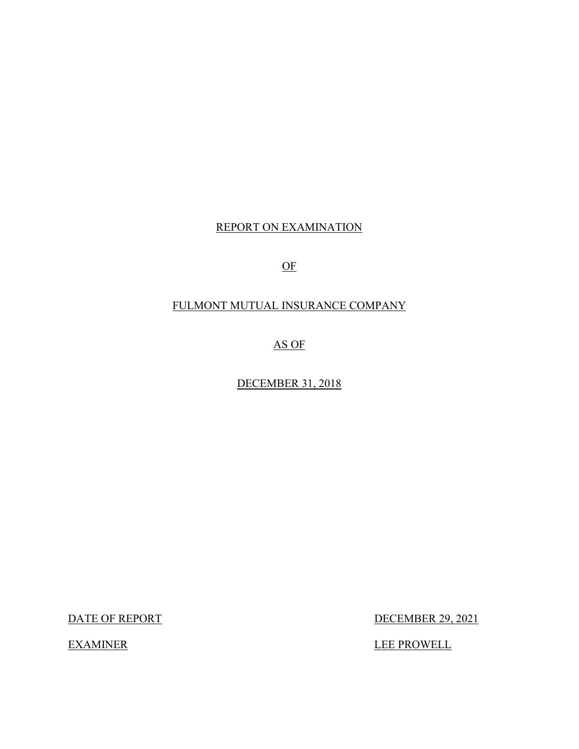## REPORT ON EXAMINATION

OF

## FULMONT MUTUAL INSURANCE COMPANY

AS OF

DECEMBER 31, 2018

DATE OF REPORT

**EXAMINER** 

DECEMBER 29, 2021

LEE PROWELL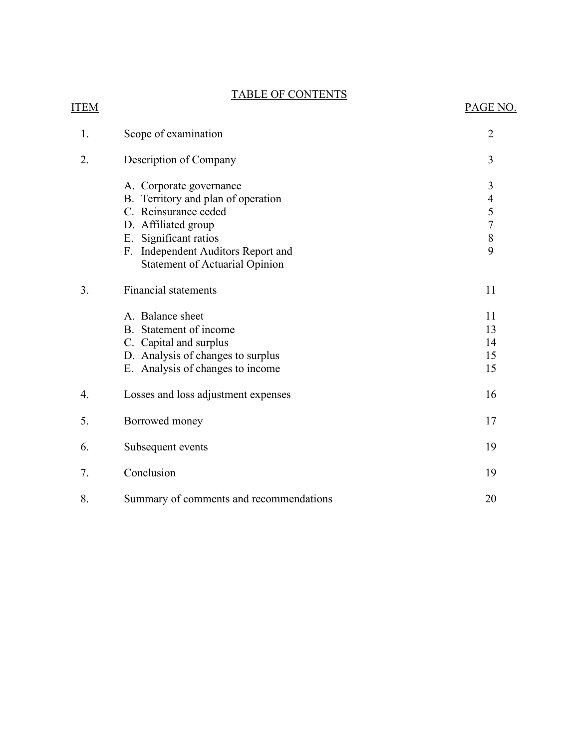## TABLE OF CONTENTS

## ITEM PAGE NO.

| 1. | Scope of examination                                                                                                                                                                                                 | $\overline{2}$                                         |
|----|----------------------------------------------------------------------------------------------------------------------------------------------------------------------------------------------------------------------|--------------------------------------------------------|
| 2. | Description of Company                                                                                                                                                                                               | 3                                                      |
|    | A. Corporate governance<br>B. Territory and plan of operation<br>C. Reinsurance ceded<br>D. Affiliated group<br>E. Significant ratios<br>F. Independent Auditors Report and<br><b>Statement of Actuarial Opinion</b> | 3<br>$\overline{\mathcal{A}}$<br>$rac{5}{7}$<br>8<br>9 |
| 3. | <b>Financial statements</b>                                                                                                                                                                                          | 11                                                     |
|    | A. Balance sheet<br>B. Statement of income<br>C. Capital and surplus<br>D. Analysis of changes to surplus<br>E. Analysis of changes to income                                                                        | 11<br>13<br>14<br>15<br>15                             |
| 4. | Losses and loss adjustment expenses                                                                                                                                                                                  | 16                                                     |
| 5. | Borrowed money                                                                                                                                                                                                       | 17                                                     |
| 6. | Subsequent events                                                                                                                                                                                                    | 19                                                     |
| 7. | Conclusion                                                                                                                                                                                                           | 19                                                     |
| 8. | Summary of comments and recommendations                                                                                                                                                                              | 20                                                     |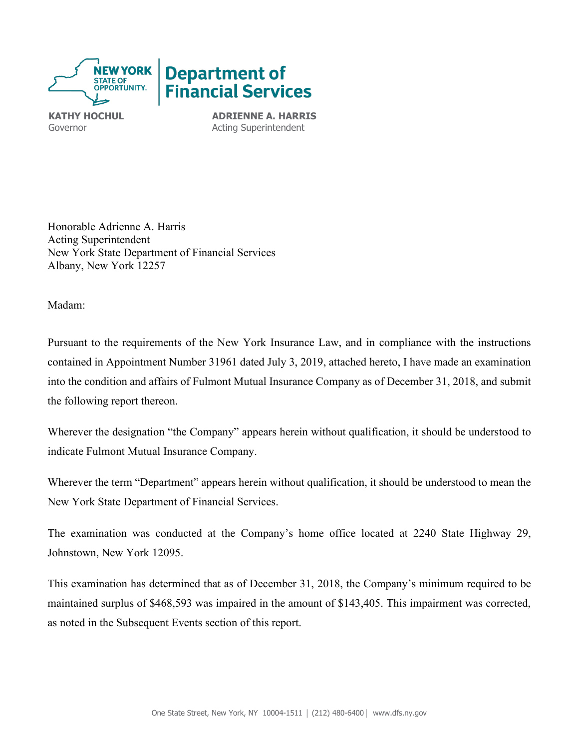

**KATHY HOCHUL ADRIENNE A. HARRIS** Governor **Acting Superintendent** 

Honorable Adrienne A. Harris Acting Superintendent New York State Department of Financial Services Albany, New York 12257

Madam:

Pursuant to the requirements of the New York Insurance Law, and in compliance with the instructions contained in Appointment Number 31961 dated July 3, 2019, attached hereto, I have made an examination into the condition and affairs of Fulmont Mutual Insurance Company as of December 31, 2018, and submit the following report thereon.

Wherever the designation "the Company" appears herein without qualification, it should be understood to indicate Fulmont Mutual Insurance Company.

Wherever the term "Department" appears herein without qualification, it should be understood to mean the New York State Department of Financial Services.

The examination was conducted at the Company's home office located at 2240 State Highway 29, Johnstown, New York 12095.

 maintained surplus of \$468,593 was impaired in the amount of \$143,405. This impairment was corrected, This examination has determined that as of December 31, 2018, the Company's minimum required to be as noted in the Subsequent Events section of this report.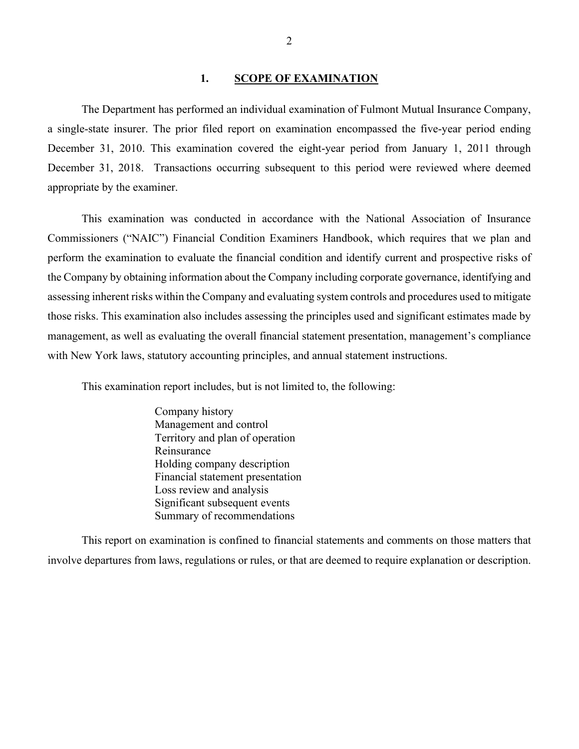#### **1. SCOPE OF EXAMINATION**

<span id="page-3-0"></span> a single-state insurer. The prior filed report on examination encompassed the five-year period ending The Department has performed an individual examination of Fulmont Mutual Insurance Company, December 31, 2010. This examination covered the eight-year period from January 1, 2011 through December 31, 2018. Transactions occurring subsequent to this period were reviewed where deemed appropriate by the examiner.

 This examination was conducted in accordance with the National Association of Insurance with New York laws, statutory accounting principles, and annual statement instructions. Commissioners ("NAIC") Financial Condition Examiners Handbook, which requires that we plan and perform the examination to evaluate the financial condition and identify current and prospective risks of the Company by obtaining information about the Company including corporate governance, identifying and assessing inherent risks within the Company and evaluating system controls and procedures used to mitigate those risks. This examination also includes assessing the principles used and significant estimates made by management, as well as evaluating the overall financial statement presentation, management's compliance

This examination report includes, but is not limited to, the following:

Company history Management and control Territory and plan of operation Reinsurance Holding company description Financial statement presentation Loss review and analysis Significant subsequent events Summary of recommendations

 This report on examination is confined to financial statements and comments on those matters that involve departures from laws, regulations or rules, or that are deemed to require explanation or description.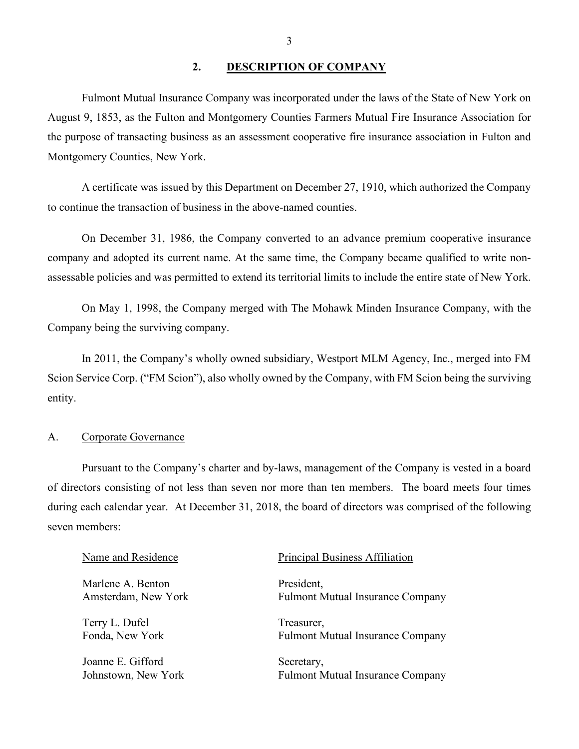## <span id="page-4-0"></span>**2. DESCRIPTION OF COMPANY**

 Fulmont Mutual Insurance Company was incorporated under the laws of the State of New York on August 9, 1853, as the Fulton and Montgomery Counties Farmers Mutual Fire Insurance Association for the purpose of transacting business as an assessment cooperative fire insurance association in Fulton and Montgomery Counties, New York.

A certificate was issued by this Department on December 27, 1910, which authorized the Company to continue the transaction of business in the above-named counties.

On December 31, 1986, the Company converted to an advance premium cooperative insurance company and adopted its current name. At the same time, the Company became qualified to write nonassessable policies and was permitted to extend its territorial limits to include the entire state of New York.

On May 1, 1998, the Company merged with The Mohawk Minden Insurance Company, with the Company being the surviving company.

 Scion Service Corp. ("FM Scion"), also wholly owned by the Company, with FM Scion being the surviving In 2011, the Company's wholly owned subsidiary, Westport MLM Agency, Inc., merged into FM entity.

## <span id="page-4-1"></span>A. Corporate Governance

 of directors consisting of not less than seven nor more than ten members. The board meets four times Pursuant to the Company's charter and by-laws, management of the Company is vested in a board during each calendar year. At December 31, 2018, the board of directors was comprised of the following seven members:

# Name and Residence **Principal Business Affiliation** Marlene A. Benton President, Amsterdam, New York Fulmont Mutual Insurance Company Terry L. Dufel Treasurer, Fonda, New York Fulmont Mutual Insurance Company Joanne E. Gifford Secretary, Johnstown, New York Fulmont Mutual Insurance Company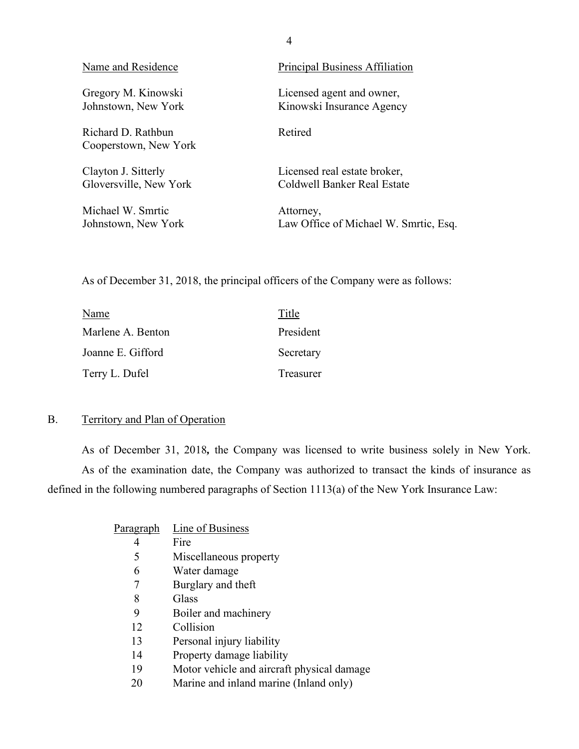| Name and Residence                          | <b>Principal Business Affiliation</b> |
|---------------------------------------------|---------------------------------------|
| Gregory M. Kinowski                         | Licensed agent and owner,             |
| Johnstown, New York                         | Kinowski Insurance Agency             |
| Richard D. Rathbun<br>Cooperstown, New York | Retired                               |
| Clayton J. Sitterly                         | Licensed real estate broker,          |
| Gloversville, New York                      | Coldwell Banker Real Estate           |
| Michael W. Smrtic                           | Attorney,                             |
| Johnstown, New York                         | Law Office of Michael W. Smrtic, Esq. |

As of December 31, 2018, the principal officers of the Company were as follows:

| Name              | Title     |
|-------------------|-----------|
| Marlene A. Benton | President |
| Joanne E. Gifford | Secretary |
| Terry L. Dufel    | Treasurer |

## <span id="page-5-0"></span>B. Territory and Plan of Operation

As of December 31, 2018*,* the Company was licensed to write business solely in New York. As of the examination date, the Company was authorized to transact the kinds of insurance as defined in the following numbered paragraphs of Section 1113(a) of the New York Insurance Law:

| Paragraph | Line of Business                           |
|-----------|--------------------------------------------|
| 4         | Fire                                       |
| 5         | Miscellaneous property                     |
| 6         | Water damage                               |
| 7         | Burglary and theft                         |
| 8         | Glass                                      |
| 9         | Boiler and machinery                       |
| 12        | Collision                                  |
| 13        | Personal injury liability                  |
| 14        | Property damage liability                  |
| 19        | Motor vehicle and aircraft physical damage |
| 20        | Marine and inland marine (Inland only)     |

4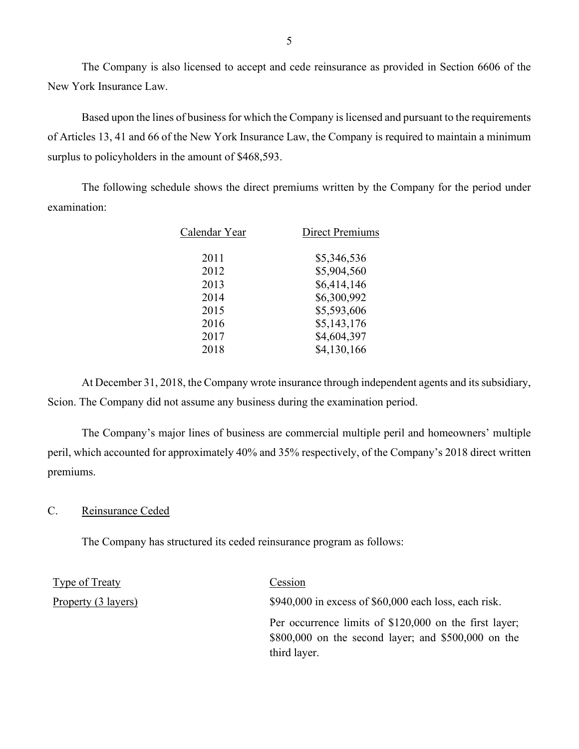The Company is also licensed to accept and cede reinsurance as provided in Section 6606 of the New York Insurance Law.

Based upon the lines of business for which the Company is licensed and pursuant to the requirements of Articles 13, 41 and 66 of the New York Insurance Law, the Company is required to maintain a minimum surplus to policyholders in the amount of \$468,593.

The following schedule shows the direct premiums written by the Company for the period under examination:

| Calendar Year | <b>Direct Premiums</b> |
|---------------|------------------------|
| 2011          | \$5,346,536            |
| 2012          | \$5,904,560            |
| 2013          | \$6,414,146            |
| 2014          | \$6,300,992            |
| 2015          | \$5,593,606            |
| 2016          | \$5,143,176            |
| 2017          | \$4,604,397            |
| 2018          | \$4,130,166            |
|               |                        |

At December 31, 2018, the Company wrote insurance through independent agents and its subsidiary, Scion. The Company did not assume any business during the examination period.

The Company's major lines of business are commercial multiple peril and homeowners' multiple peril, which accounted for approximately 40% and 35% respectively, of the Company's 2018 direct written premiums.

## <span id="page-6-0"></span>C. Reinsurance Ceded

The Company has structured its ceded reinsurance program as follows:

| Type of Treaty      | Cession                                                                                                                         |
|---------------------|---------------------------------------------------------------------------------------------------------------------------------|
| Property (3 layers) | $$940,000$ in excess of $$60,000$ each loss, each risk.                                                                         |
|                     | Per occurrence limits of \$120,000 on the first layer;<br>$$800,000$ on the second layer; and $$500,000$ on the<br>third layer. |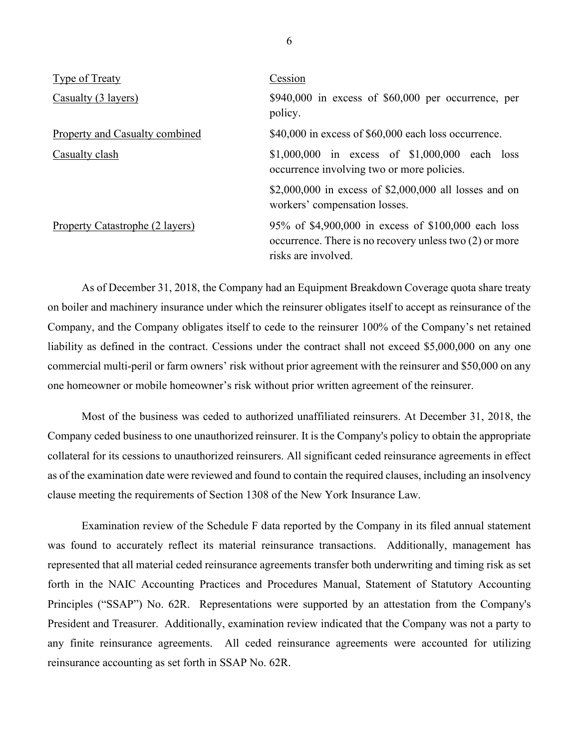| Type of Treaty                         | Cession                                                                                                                                 |
|----------------------------------------|-----------------------------------------------------------------------------------------------------------------------------------------|
| Casualty (3 layers)                    | $$940,000$ in excess of $$60,000$ per occurrence, per<br>policy.                                                                        |
| Property and Casualty combined         | \$40,000 in excess of \$60,000 each loss occurrence.                                                                                    |
| Casualty clash                         | \$1,000,000 in excess of $$1,000,000$ each loss<br>occurrence involving two or more policies.                                           |
|                                        | \$2,000,000 in excess of \$2,000,000 all losses and on<br>workers' compensation losses.                                                 |
| <b>Property Catastrophe (2 layers)</b> | 95% of \$4,900,000 in excess of \$100,000 each loss<br>occurrence. There is no recovery unless two $(2)$ or more<br>risks are involved. |

 Company, and the Company obligates itself to cede to the reinsurer 100% of the Company's net retained As of December 31, 2018, the Company had an Equipment Breakdown Coverage quota share treaty on boiler and machinery insurance under which the reinsurer obligates itself to accept as reinsurance of the liability as defined in the contract. Cessions under the contract shall not exceed \$5,000,000 on any one commercial multi-peril or farm owners' risk without prior agreement with the reinsurer and \$50,000 on any one homeowner or mobile homeowner's risk without prior written agreement of the reinsurer.

Most of the business was ceded to authorized unaffiliated reinsurers. At December 31, 2018, the Company ceded business to one unauthorized reinsurer. It is the Company's policy to obtain the appropriate collateral for its cessions to unauthorized reinsurers. All significant ceded reinsurance agreements in effect as of the examination date were reviewed and found to contain the required clauses, including an insolvency clause meeting the requirements of Section 1308 of the New York Insurance Law.

 President and Treasurer. Additionally, examination review indicated that the Company was not a party to Examination review of the Schedule F data reported by the Company in its filed annual statement was found to accurately reflect its material reinsurance transactions. Additionally, management has represented that all material ceded reinsurance agreements transfer both underwriting and timing risk as set forth in the NAIC Accounting Practices and Procedures Manual, Statement of Statutory Accounting Principles ("SSAP") No. 62R. Representations were supported by an attestation from the Company's any finite reinsurance agreements. All ceded reinsurance agreements were accounted for utilizing reinsurance accounting as set forth in SSAP No. 62R.

6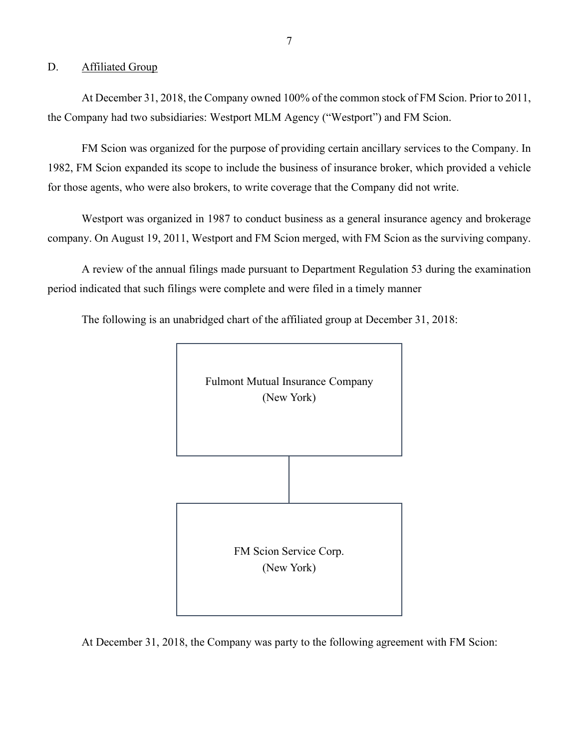## <span id="page-8-0"></span>D. Affiliated Group

the Company had two subsidiaries: Westport MLM Agency ("Westport") and FM Scion. At December 31, 2018, the Company owned 100% of the common stock of FM Scion. Prior to 2011,

 for those agents, who were also brokers, to write coverage that the Company did not write. FM Scion was organized for the purpose of providing certain ancillary services to the Company. In 1982, FM Scion expanded its scope to include the business of insurance broker, which provided a vehicle

 company. On August 19, 2011, Westport and FM Scion merged, with FM Scion as the surviving company. Westport was organized in 1987 to conduct business as a general insurance agency and brokerage

 period indicated that such filings were complete and were filed in a timely manner A review of the annual filings made pursuant to Department Regulation 53 during the examination

The following is an unabridged chart of the affiliated group at December 31, 2018:



At December 31, 2018, the Company was party to the following agreement with FM Scion: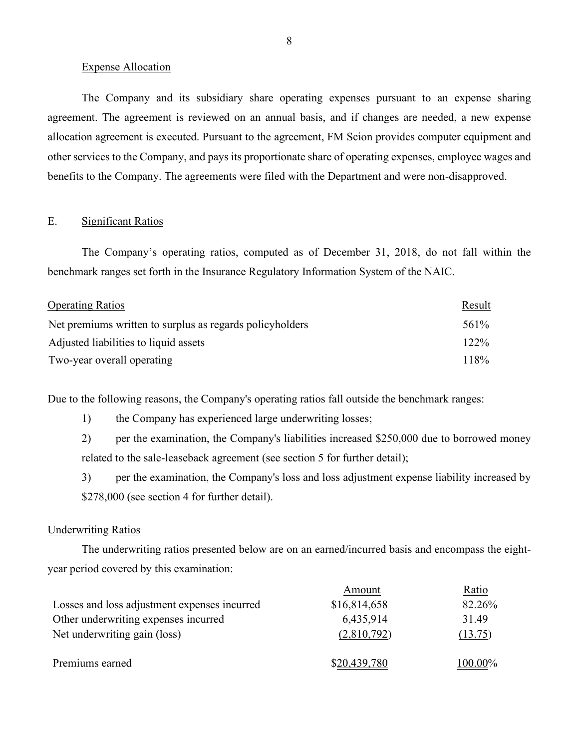#### Expense Allocation

 benefits to the Company. The agreements were filed with the Department and were non-disapproved. The Company and its subsidiary share operating expenses pursuant to an expense sharing agreement. The agreement is reviewed on an annual basis, and if changes are needed, a new expense allocation agreement is executed. Pursuant to the agreement, FM Scion provides computer equipment and other services to the Company, and pays its proportionate share of operating expenses, employee wages and

## E. Significant Ratios

 The Company's operating ratios, computed as of December 31, 2018, do not fall within the benchmark ranges set forth in the Insurance Regulatory Information System of the NAIC.

| <b>Operating Ratios</b>                                  | Result  |
|----------------------------------------------------------|---------|
| Net premiums written to surplus as regards policyholders | 561%    |
| Adjusted liabilities to liquid assets                    | $122\%$ |
| Two-year overall operating                               | 118%    |

Due to the following reasons, the Company's operating ratios fall outside the benchmark ranges:<br>
1) the Company has experienced large underwriting losses;

related to the sale-leaseback agreement (see section 5 for further detail); 2) per the examination, the Company's liabilities increased \$250,000 due to borrowed money

3) per the examination, the Company's loss and loss adjustment expense liability increased by \$278,000 (see section 4 for further detail).

## **Underwriting Ratios**

The underwriting ratios presented below are on an earned/incurred basis and encompass the eightyear period covered by this examination:

|                                              | Amount       | Ratio   |
|----------------------------------------------|--------------|---------|
| Losses and loss adjustment expenses incurred | \$16,814,658 | 82.26%  |
| Other underwriting expenses incurred         | 6,435,914    | 31.49   |
| Net underwriting gain (loss)                 | (2,810,792)  | (13.75) |
|                                              |              |         |
| Premiums earned                              | \$20,439,780 | 100.00% |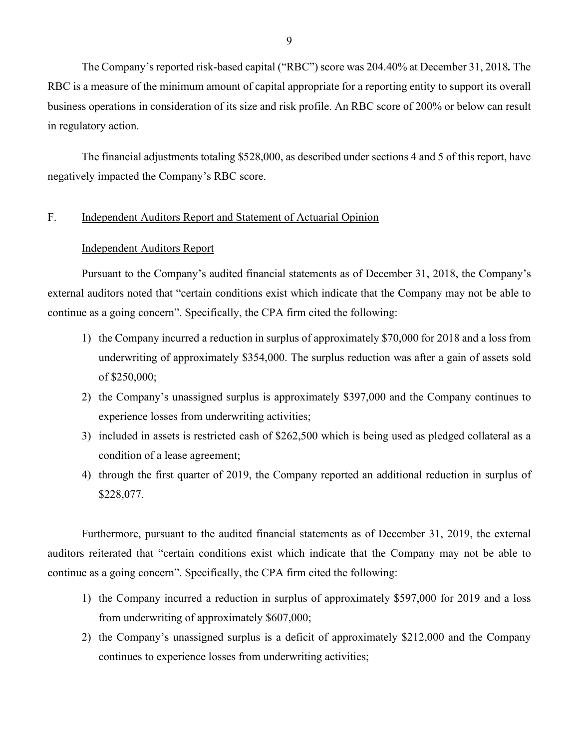business operations in consideration of its size and risk profile. An RBC score of 200% or below can result The Company's reported risk-based capital ("RBC") score was 204.40% at December 31, 2018*.* The RBC is a measure of the minimum amount of capital appropriate for a reporting entity to support its overall in regulatory action.

 The financial adjustments totaling \$528,000, as described under sections 4 and 5 of this report, have negatively impacted the Company's RBC score.

## F. Independent Auditors Report and Statement of Actuarial Opinion

## <span id="page-10-0"></span>Independent Auditors Report

Pursuant to the Company's audited financial statements as of December 31, 2018, the Company's external auditors noted that "certain conditions exist which indicate that the Company may not be able to continue as a going concern". Specifically, the CPA firm cited the following:

- of \$250,000; 1) the Company incurred a reduction in surplus of approximately \$70,000 for 2018 and a loss from underwriting of approximately \$354,000. The surplus reduction was after a gain of assets sold
- 2) the Company's unassigned surplus is approximately \$397,000 and the Company continues to experience losses from underwriting activities;
- condition of a lease agreement; 3) included in assets is restricted cash of \$262,500 which is being used as pledged collateral as a
- 4) through the first quarter of 2019, the Company reported an additional reduction in surplus of \$228,077.

Furthermore, pursuant to the audited financial statements as of December 31, 2019, the external auditors reiterated that "certain conditions exist which indicate that the Company may not be able to continue as a going concern". Specifically, the CPA firm cited the following:

- 1) the Company incurred a reduction in surplus of approximately \$597,000 for 2019 and a loss from underwriting of approximately \$607,000;
- 2) the Company's unassigned surplus is a deficit of approximately \$212,000 and the Company continues to experience losses from underwriting activities;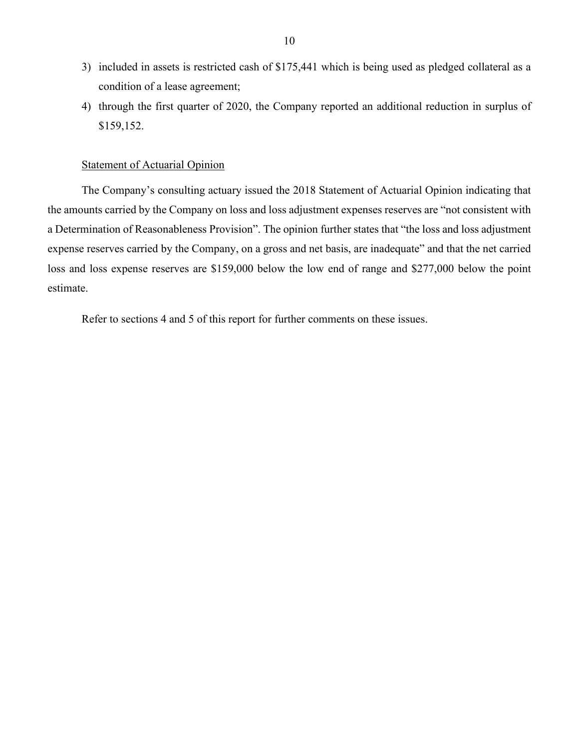- condition of a lease agreement; 3) included in assets is restricted cash of \$175,441 which is being used as pledged collateral as a
- 4) through the first quarter of 2020, the Company reported an additional reduction in surplus of \$159,152.

#### Statement of Actuarial Opinion

 the amounts carried by the Company on loss and loss adjustment expenses reserves are "not consistent with expense reserves carried by the Company, on a gross and net basis, are inadequate" and that the net carried The Company's consulting actuary issued the 2018 Statement of Actuarial Opinion indicating that a Determination of Reasonableness Provision". The opinion further states that "the loss and loss adjustment loss and loss expense reserves are \$159,000 below the low end of range and \$277,000 below the point estimate.

Refer to sections 4 and 5 of this report for further comments on these issues.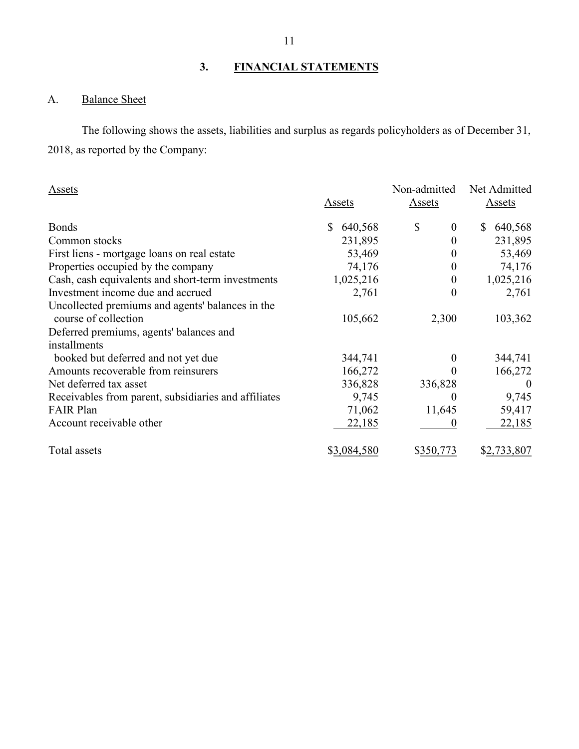## **3. FINANCIAL STATEMENTS**

# <span id="page-12-1"></span><span id="page-12-0"></span>A. Balance Sheet

 2018, as reported by the Company: The following shows the assets, liabilities and surplus as regards policyholders as of December 31,

| Assets                                                                   |               | Non-admitted           | Net Admitted       |
|--------------------------------------------------------------------------|---------------|------------------------|--------------------|
|                                                                          | <b>Assets</b> | Assets                 | Assets             |
| <b>Bonds</b>                                                             | \$<br>640,568 | \$<br>$\boldsymbol{0}$ | 640,568<br>S.      |
| Common stocks                                                            | 231,895       | 0                      | 231,895            |
| First liens - mortgage loans on real estate                              | 53,469        | $\theta$               | 53,469             |
| Properties occupied by the company                                       | 74,176        | $\boldsymbol{0}$       | 74,176             |
| Cash, cash equivalents and short-term investments                        | 1,025,216     | $\boldsymbol{0}$       | 1,025,216          |
| Investment income due and accrued                                        | 2,761         | $\boldsymbol{0}$       | 2,761              |
| Uncollected premiums and agents' balances in the<br>course of collection | 105,662       | 2,300                  | 103,362            |
| Deferred premiums, agents' balances and                                  |               |                        |                    |
| installments                                                             |               |                        |                    |
| booked but deferred and not yet due                                      | 344,741       | 0                      | 344,741            |
| Amounts recoverable from reinsurers                                      | 166,272       | $\Omega$               | 166,272            |
| Net deferred tax asset                                                   | 336,828       | 336,828                | $\theta$           |
| Receivables from parent, subsidiaries and affiliates                     | 9,745         | $\theta$               | 9,745              |
| <b>FAIR Plan</b>                                                         | 71,062        | 11,645                 | 59,417             |
| Account receivable other                                                 | 22,185        | 0                      | 22,185             |
| Total assets                                                             | \$3,084,580   | \$350,773              | <u>\$2,733,807</u> |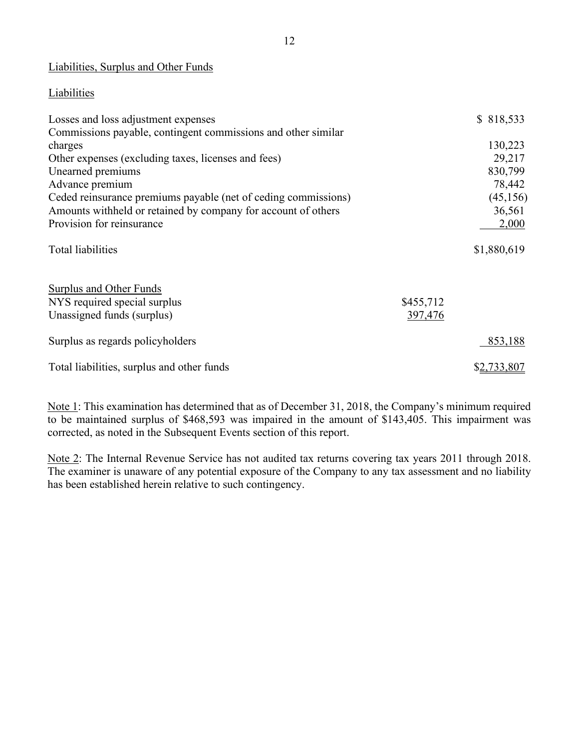## Liabilities, Surplus and Other Funds

## **Liabilities**

| Losses and loss adjustment expenses                            |           | \$818,533   |
|----------------------------------------------------------------|-----------|-------------|
| Commissions payable, contingent commissions and other similar  |           |             |
| charges                                                        |           | 130,223     |
| Other expenses (excluding taxes, licenses and fees)            |           | 29,217      |
| Unearned premiums                                              |           | 830,799     |
| Advance premium                                                |           | 78,442      |
| Ceded reinsurance premiums payable (net of ceding commissions) |           | (45, 156)   |
| Amounts withheld or retained by company for account of others  |           | 36,561      |
| Provision for reinsurance                                      |           | 2,000       |
| <b>Total liabilities</b>                                       |           | \$1,880,619 |
| <b>Surplus and Other Funds</b>                                 |           |             |
| NYS required special surplus                                   | \$455,712 |             |
| Unassigned funds (surplus)                                     | 397,476   |             |
| Surplus as regards policyholders                               |           | 853,188     |
| Total liabilities, surplus and other funds                     |           | \$2,733,807 |

Note 1: This examination has determined that as of December 31, 2018, the Company's minimum required to be maintained surplus of \$468,593 was impaired in the amount of \$143,405. This impairment was corrected, as noted in the Subsequent Events section of this report.

Note 2: The Internal Revenue Service has not audited tax returns covering tax years 2011 through 2018. The examiner is unaware of any potential exposure of the Company to any tax assessment and no liability has been established herein relative to such contingency.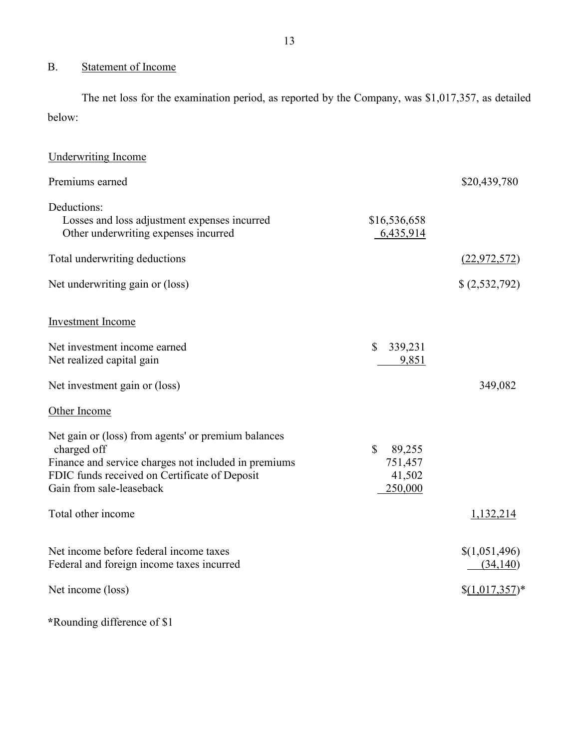## <span id="page-14-0"></span>B. Statement of Income

 The net loss for the examination period, as reported by the Company, was \$1,017,357, as detailed below:

| <b>Underwriting Income</b>                                                                                                                                                                              |                                                        |                                               |
|---------------------------------------------------------------------------------------------------------------------------------------------------------------------------------------------------------|--------------------------------------------------------|-----------------------------------------------|
| Premiums earned                                                                                                                                                                                         |                                                        | \$20,439,780                                  |
| Deductions:<br>Losses and loss adjustment expenses incurred<br>Other underwriting expenses incurred                                                                                                     | \$16,536,658<br>6,435,914                              |                                               |
| Total underwriting deductions                                                                                                                                                                           |                                                        | (22, 972, 572)                                |
| Net underwriting gain or (loss)                                                                                                                                                                         |                                                        | (2,532,792)                                   |
| <b>Investment Income</b>                                                                                                                                                                                |                                                        |                                               |
| Net investment income earned<br>Net realized capital gain                                                                                                                                               | $\mathbb{S}$<br>339,231<br>9,851                       |                                               |
| Net investment gain or (loss)                                                                                                                                                                           |                                                        | 349,082                                       |
| Other Income                                                                                                                                                                                            |                                                        |                                               |
| Net gain or (loss) from agents' or premium balances<br>charged off<br>Finance and service charges not included in premiums<br>FDIC funds received on Certificate of Deposit<br>Gain from sale-leaseback | $\mathbb{S}$<br>89,255<br>751,457<br>41,502<br>250,000 |                                               |
| Total other income                                                                                                                                                                                      |                                                        | 1,132,214                                     |
| Net income before federal income taxes<br>Federal and foreign income taxes incurred<br>Net income (loss)                                                                                                |                                                        | \$(1,051,496)<br>(34, 140)<br>$(1,017,357)^*$ |
|                                                                                                                                                                                                         |                                                        |                                               |

**\***Rounding difference of \$1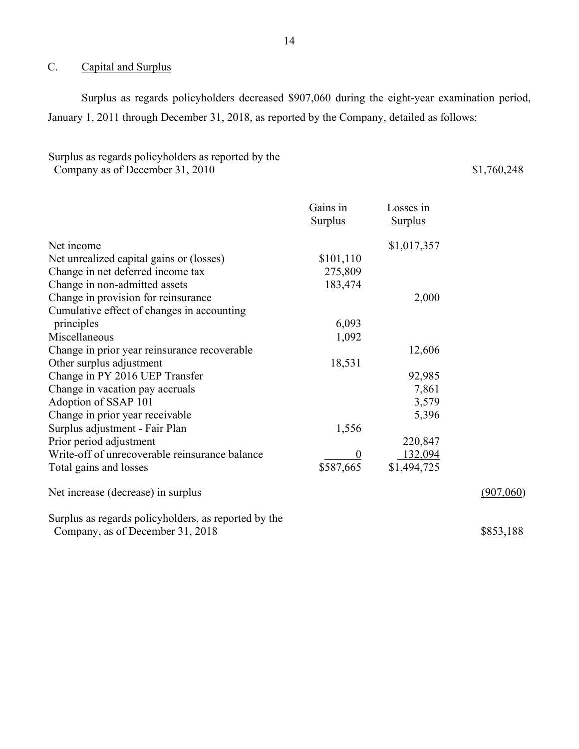## <span id="page-15-0"></span>C. Capital and Surplus

Surplus as regards policyholders decreased \$907,060 during the eight-year examination period, January 1, 2011 through December 31, 2018, as reported by the Company, detailed as follows:

## Surplus as regards policyholders as reported by the Company as of December 31, 2010

\$1,760,248

|                                                | Gains in       | Losses in      |
|------------------------------------------------|----------------|----------------|
|                                                | <b>Surplus</b> | <b>Surplus</b> |
| Net income                                     |                | \$1,017,357    |
| Net unrealized capital gains or (losses)       | \$101,110      |                |
| Change in net deferred income tax              | 275,809        |                |
| Change in non-admitted assets                  | 183,474        |                |
| Change in provision for reinsurance            |                | 2,000          |
| Cumulative effect of changes in accounting     |                |                |
| principles                                     | 6,093          |                |
| Miscellaneous                                  | 1,092          |                |
| Change in prior year reinsurance recoverable   |                | 12,606         |
| Other surplus adjustment                       | 18,531         |                |
| Change in PY 2016 UEP Transfer                 |                | 92,985         |
| Change in vacation pay accruals                |                | 7,861          |
| Adoption of SSAP 101                           |                | 3,579          |
| Change in prior year receivable                |                | 5,396          |
| Surplus adjustment - Fair Plan                 | 1,556          |                |
| Prior period adjustment                        |                | 220,847        |
| Write-off of unrecoverable reinsurance balance |                | 132,094        |
| Total gains and losses                         | \$587,665      | \$1,494,725    |
| Net increase (decrease) in surplus             |                |                |
|                                                |                |                |

Surplus as regards policyholders, as reported by the Company, as of December 31, 2018

\$853,188

(907,060)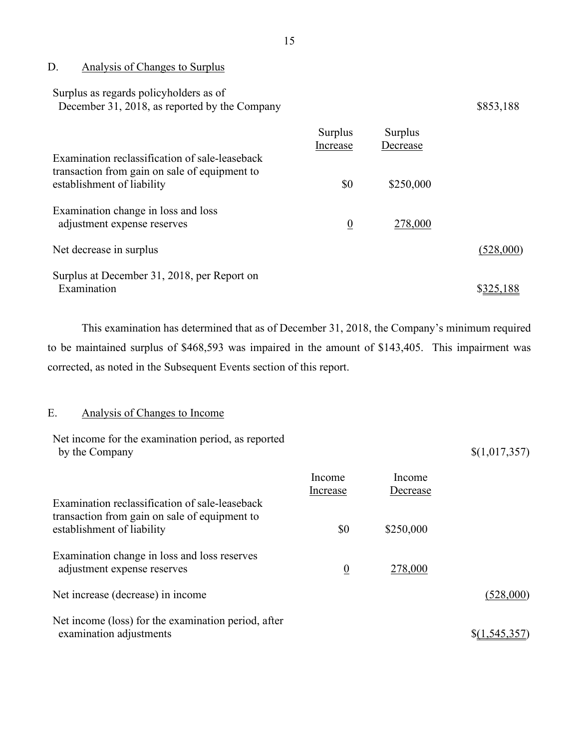<span id="page-16-0"></span>D. Analysis of Changes to Surplus

| Surplus as regards policyholders as of        |           |
|-----------------------------------------------|-----------|
| December 31, 2018, as reported by the Company | \$853,188 |

|                                                                                                                               | Surplus<br>Increase | Surplus<br>Decrease |           |
|-------------------------------------------------------------------------------------------------------------------------------|---------------------|---------------------|-----------|
| Examination reclassification of sale-leaseback<br>transaction from gain on sale of equipment to<br>establishment of liability | \$0                 | \$250,000           |           |
| Examination change in loss and loss<br>adjustment expense reserves                                                            | $\boldsymbol{0}$    | 278,000             |           |
| Net decrease in surplus                                                                                                       |                     |                     | (528,000) |
| Surplus at December 31, 2018, per Report on<br>Examination                                                                    |                     |                     |           |

 to be maintained surplus of \$468,593 was impaired in the amount of \$143,405. This impairment was This examination has determined that as of December 31, 2018, the Company's minimum required corrected, as noted in the Subsequent Events section of this report.

## <span id="page-16-1"></span>E. Analysis of Changes to Income

| Net income for the examination period, as reported<br>by the Company           |                    |                    | \$(1,017,357) |
|--------------------------------------------------------------------------------|--------------------|--------------------|---------------|
| Examination reclassification of sale-leaseback                                 | Income<br>Increase | Income<br>Decrease |               |
| transaction from gain on sale of equipment to<br>establishment of liability    | \$0                | \$250,000          |               |
| Examination change in loss and loss reserves<br>adjustment expense reserves    | $\overline{0}$     | 278,000            |               |
| Net increase (decrease) in income                                              |                    |                    | (528,000)     |
| Net income (loss) for the examination period, after<br>examination adjustments |                    |                    | \$(1,545,357) |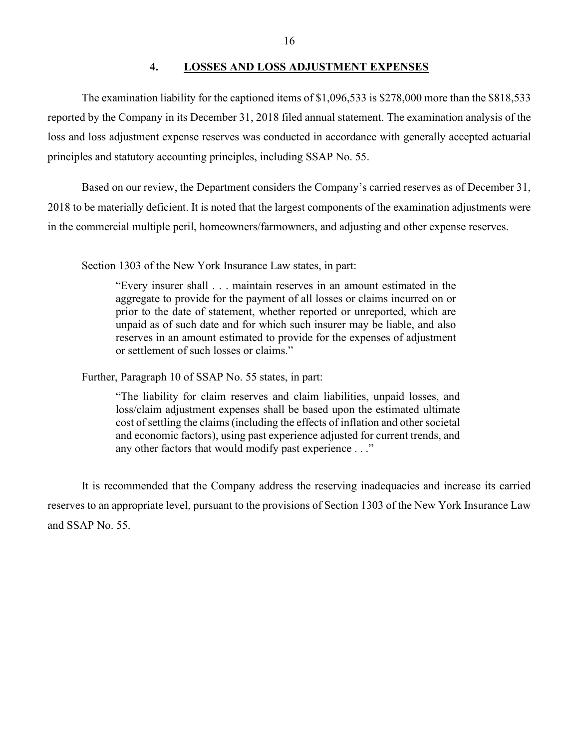## **4. LOSSES AND LOSS ADJUSTMENT EXPENSES**

The examination liability for the captioned items of \$1,096,533 is \$278,000 more than the \$818,533 reported by the Company in its December 31, 2018 filed annual statement. The examination analysis of the loss and loss adjustment expense reserves was conducted in accordance with generally accepted actuarial principles and statutory accounting principles, including SSAP No. 55.

Based on our review, the Department considers the Company's carried reserves as of December 31, 2018 to be materially deficient. It is noted that the largest components of the examination adjustments were in the commercial multiple peril, homeowners/farmowners, and adjusting and other expense reserves.

Section 1303 of the New York Insurance Law states, in part:

"Every insurer shall . . . maintain reserves in an amount estimated in the aggregate to provide for the payment of all losses or claims incurred on or prior to the date of statement, whether reported or unreported, which are unpaid as of such date and for which such insurer may be liable, and also reserves in an amount estimated to provide for the expenses of adjustment or settlement of such losses or claims."

Further, Paragraph 10 of SSAP No. 55 states, in part:

"The liability for claim reserves and claim liabilities, unpaid losses, and loss/claim adjustment expenses shall be based upon the estimated ultimate cost of settling the claims (including the effects of inflation and other societal and economic factors), using past experience adjusted for current trends, and any other factors that would modify past experience . . ."

<span id="page-17-0"></span>It is recommended that the Company address the reserving inadequacies and increase its carried reserves to an appropriate level, pursuant to the provisions of Section 1303 of the New York Insurance Law and SSAP No. 55.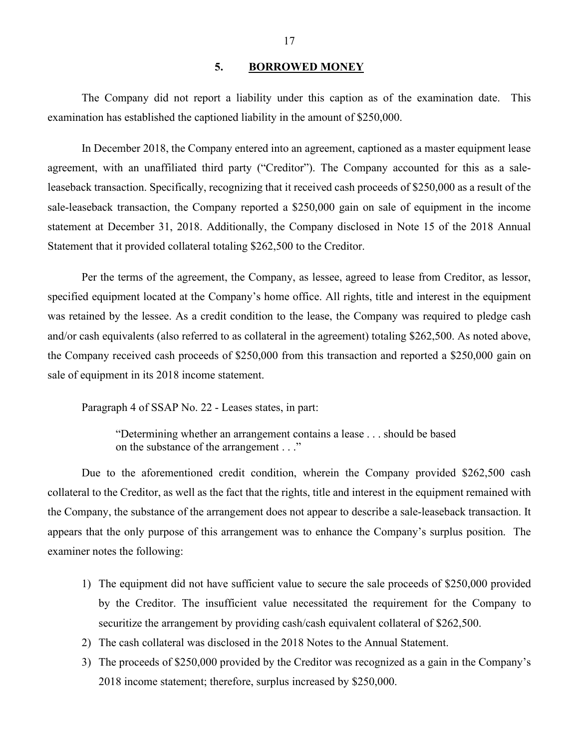#### <span id="page-18-0"></span>**5. BORROWED MONEY**

The Company did not report a liability under this caption as of the examination date. This examination has established the captioned liability in the amount of \$250,000.

 In December 2018, the Company entered into an agreement, captioned as a master equipment lease agreement, with an unaffiliated third party ("Creditor"). The Company accounted for this as a sale- leaseback transaction. Specifically, recognizing that it received cash proceeds of \$250,000 as a result of the sale-leaseback transaction, the Company reported a \$250,000 gain on sale of equipment in the income statement at December 31, 2018. Additionally, the Company disclosed in Note 15 of the 2018 Annual Statement that it provided collateral totaling \$262,500 to the Creditor.

 the Company received cash proceeds of \$250,000 from this transaction and reported a \$250,000 gain on Per the terms of the agreement, the Company, as lessee, agreed to lease from Creditor, as lessor, specified equipment located at the Company's home office. All rights, title and interest in the equipment was retained by the lessee. As a credit condition to the lease, the Company was required to pledge cash and/or cash equivalents (also referred to as collateral in the agreement) totaling \$262,500. As noted above, sale of equipment in its 2018 income statement.

Paragraph 4 of SSAP No. 22 - Leases states, in part:

"Determining whether an arrangement contains a lease . . . should be based on the substance of the arrangement . . ."

 appears that the only purpose of this arrangement was to enhance the Company's surplus position. The examiner notes the following: Due to the aforementioned credit condition, wherein the Company provided \$262,500 cash collateral to the Creditor, as well as the fact that the rights, title and interest in the equipment remained with the Company, the substance of the arrangement does not appear to describe a sale-leaseback transaction. It

- 1) The equipment did not have sufficient value to secure the sale proceeds of \$250,000 provided securitize the arrangement by providing cash/cash equivalent collateral of \$262,500. by the Creditor. The insufficient value necessitated the requirement for the Company to
- 2) The cash collateral was disclosed in the 2018 Notes to the Annual Statement.
- 2018 income statement; therefore, surplus increased by \$250,000. 3) The proceeds of \$250,000 provided by the Creditor was recognized as a gain in the Company's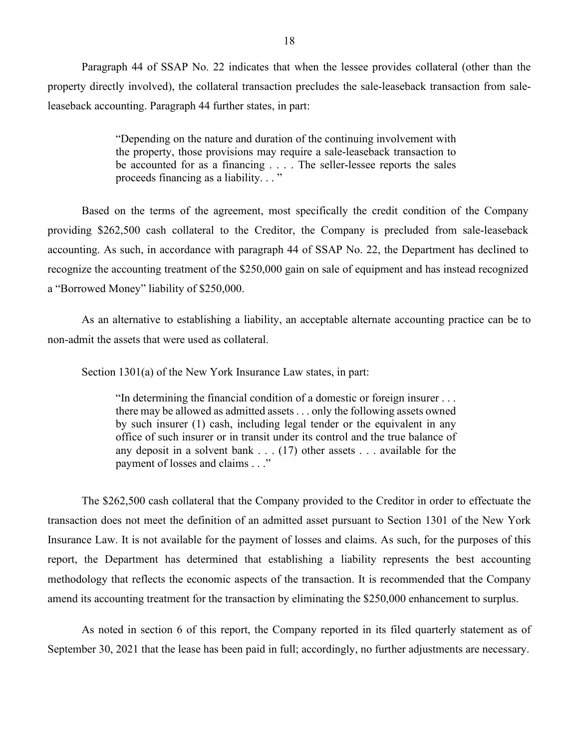Paragraph 44 of SSAP No. 22 indicates that when the lessee provides collateral (other than the property directly involved), the collateral transaction precludes the sale-leaseback transaction from saleleaseback accounting. Paragraph 44 further states, in part:

> proceeds financing as a liability. . . " "Depending on the nature and duration of the continuing involvement with the property, those provisions may require a sale-leaseback transaction to be accounted for as a financing . . . . The seller-lessee reports the sales

 Based on the terms of the agreement, most specifically the credit condition of the Company recognize the accounting treatment of the \$250,000 gain on sale of equipment and has instead recognized providing \$262,500 cash collateral to the Creditor, the Company is precluded from sale-leaseback accounting. As such, in accordance with paragraph 44 of SSAP No. 22, the Department has declined to a "Borrowed Money" liability of \$250,000.

As an alternative to establishing a liability, an acceptable alternate accounting practice can be to non-admit the assets that were used as collateral.

Section 1301(a) of the New York Insurance Law states, in part:

<span id="page-19-0"></span> office of such insurer or in transit under its control and the true balance of "In determining the financial condition of a domestic or foreign insurer . . . there may be allowed as admitted assets . . . only the following assets owned by such insurer (1) cash, including legal tender or the equivalent in any any deposit in a solvent bank . . . (17) other assets . . . available for the payment of losses and claims . . ."

 Insurance Law. It is not available for the payment of losses and claims. As such, for the purposes of this The \$262,500 cash collateral that the Company provided to the Creditor in order to effectuate the transaction does not meet the definition of an admitted asset pursuant to Section 1301 of the New York report, the Department has determined that establishing a liability represents the best accounting methodology that reflects the economic aspects of the transaction. It is recommended that the Company amend its accounting treatment for the transaction by eliminating the \$250,000 enhancement to surplus.

As noted in section 6 of this report, the Company reported in its filed quarterly statement as of September 30, 2021 that the lease has been paid in full; accordingly, no further adjustments are necessary.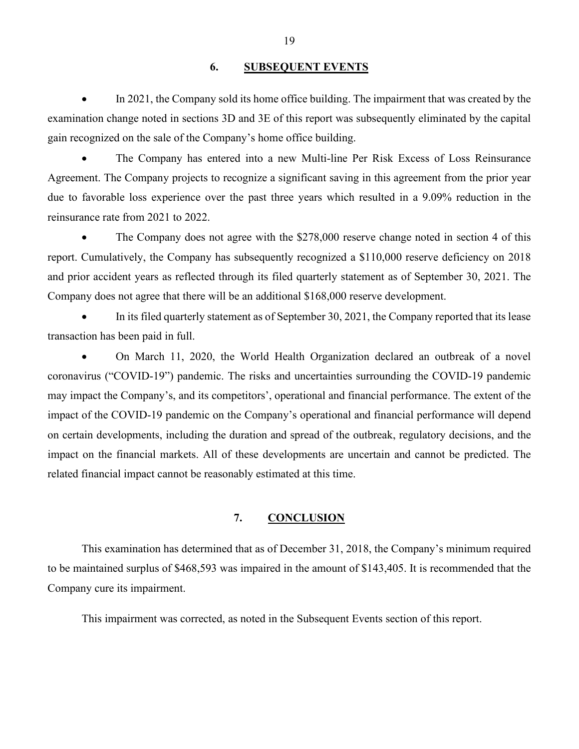## <span id="page-20-0"></span>**6. SUBSEQUENT EVENTS**

 examination change noted in sections 3D and 3E of this report was subsequently eliminated by the capital In 2021, the Company sold its home office building. The impairment that was created by the gain recognized on the sale of the Company's home office building.

• The Company has entered into a new Multi-line Per Risk Excess of Loss Reinsurance Agreement. The Company projects to recognize a significant saving in this agreement from the prior year due to favorable loss experience over the past three years which resulted in a 9.09% reduction in the reinsurance rate from 2021 to 2022.

• The Company does not agree with the \$278,000 reserve change noted in section 4 of this report. Cumulatively, the Company has subsequently recognized a \$110,000 reserve deficiency on 2018 and prior accident years as reflected through its filed quarterly statement as of September 30, 2021. The Company does not agree that there will be an additional \$168,000 reserve development.

• In its filed quarterly statement as of September 30, 2021, the Company reported that its lease transaction has been paid in full.

• On March 11, 2020, the World Health Organization declared an outbreak of a novel coronavirus ("COVID-19") pandemic. The risks and uncertainties surrounding the COVID-19 pandemic may impact the Company's, and its competitors', operational and financial performance. The extent of the impact of the COVID-19 pandemic on the Company's operational and financial performance will depend on certain developments, including the duration and spread of the outbreak, regulatory decisions, and the impact on the financial markets. All of these developments are uncertain and cannot be predicted. The related financial impact cannot be reasonably estimated at this time.

## **7. CONCLUSION**

<span id="page-20-1"></span> to be maintained surplus of \$468,593 was impaired in the amount of \$143,405. It is recommended that the This examination has determined that as of December 31, 2018, the Company's minimum required Company cure its impairment.

This impairment was corrected, as noted in the Subsequent Events section of this report.

19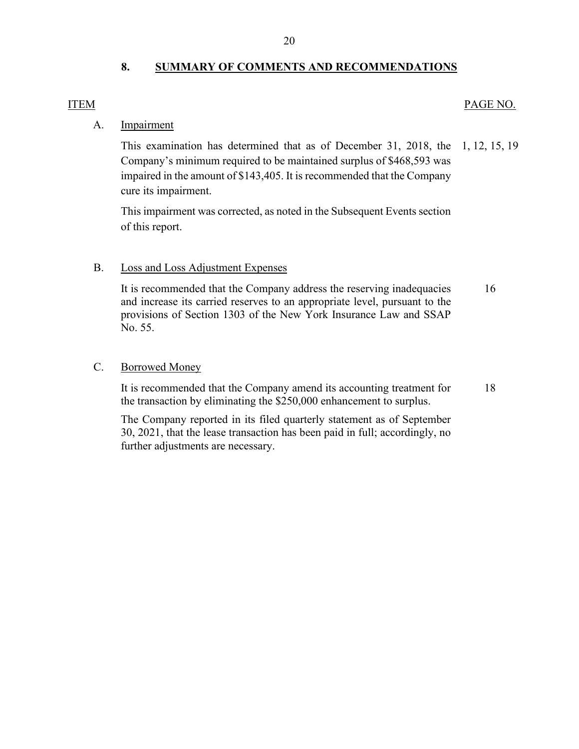## <span id="page-21-0"></span>**8. SUMMARY OF COMMENTS AND RECOMMENDATIONS**

## ITEM PAGE NO.

## A. Impairment

cure its impairment. This examination has determined that as of December 31, 2018, the Company's minimum required to be maintained surplus of \$468,593 was impaired in the amount of \$143,405. It is recommended that the Company This examination has determined that as of December 31, 2018, the 1, 12, 15, 19<br>Company's minimum required to be maintained surplus of \$468,593 was<br>impaired in the amount of \$143,405. It is recommended that the Company<br>cur

This impairment was corrected, as noted in the Subsequent Events section of this report.

## B. Loss and Loss Adjustment Expenses

It is recommended that the Company address the reserving inadequacies and increase its carried reserves to an appropriate level, pursuant to the provisions of Section 1303 of the New York Insurance Law and SSAP No. 55. [16](#page-17-0) 

#### C. Borrowed Money

It is recommended that the Company amend its accounting treatment for the transaction by eliminating the \$250,000 enhancement to surplus. [18](#page-19-0) 

 30, 2021, that the lease transaction has been paid in full; accordingly, no The Company reported in its filed quarterly statement as of September further adjustments are necessary.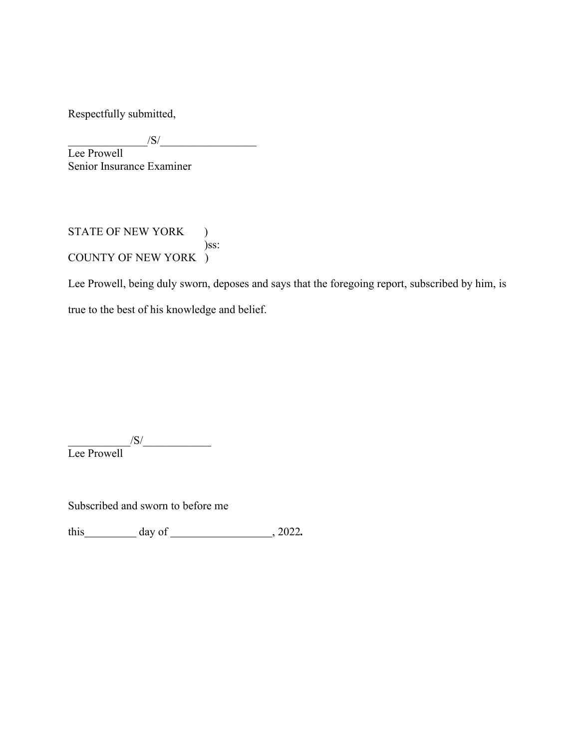Respectfully submitted,

 $\frac{1}{S}$ Lee Prowell Senior Insurance Examiner

STATE OF NEW YORK ) )ss: COUNTY OF NEW YORK )

Lee Prowell, being duly sworn, deposes and says that the foregoing report, subscribed by him, is true to the best of his knowledge and belief.

 $\sqrt{S}/\sqrt{S}$ Lee Prowell

Subscribed and sworn to before me

this day of , 2022*.*